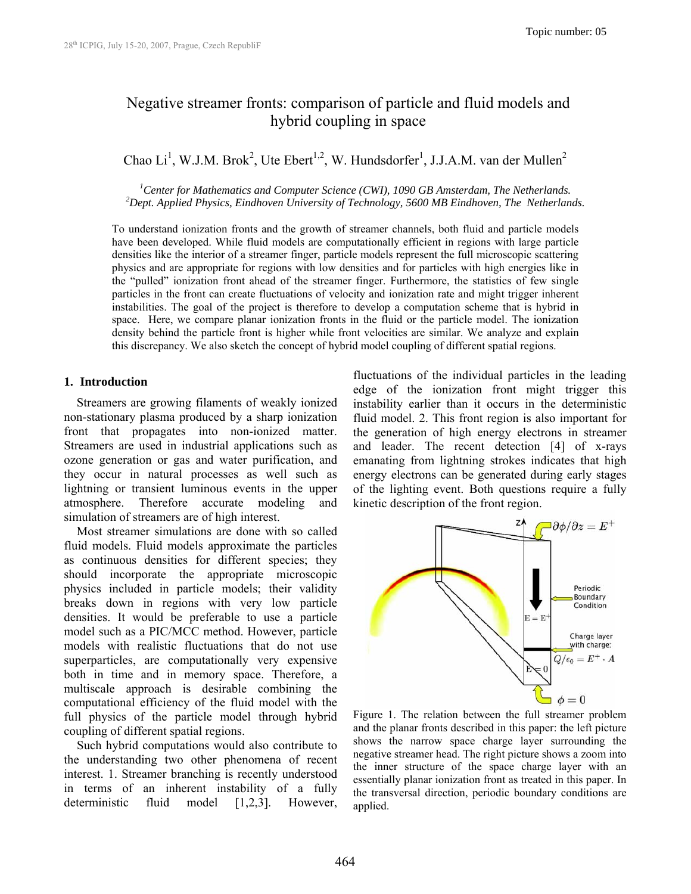# Negative streamer fronts: comparison of particle and fluid models and hybrid coupling in space

Chao Li<sup>1</sup>, W.J.M. Brok<sup>2</sup>, Ute Ebert<sup>1,2</sup>, W. Hundsdorfer<sup>1</sup>, J.J.A.M. van der Mullen<sup>2</sup>

<sup>1</sup>Center for Mathematics and Computer Science (CWI), 1090 GB Amsterdam, The Netherlands.<br><sup>2</sup>Dept. Applied Physics, Findhouen University of Technology, 5600 MP Findhouen, The Netherland <sup>2</sup> Dept. Applied Physics, Eindhoven University of Technology, 5600 MB Eindhoven, The Netherlands.

To understand ionization fronts and the growth of streamer channels, both fluid and particle models have been developed. While fluid models are computationally efficient in regions with large particle densities like the interior of a streamer finger, particle models represent the full microscopic scattering physics and are appropriate for regions with low densities and for particles with high energies like in the "pulled" ionization front ahead of the streamer finger. Furthermore, the statistics of few single particles in the front can create fluctuations of velocity and ionization rate and might trigger inherent instabilities. The goal of the project is therefore to develop a computation scheme that is hybrid in space. Here, we compare planar ionization fronts in the fluid or the particle model. The ionization density behind the particle front is higher while front velocities are similar. We analyze and explain this discrepancy. We also sketch the concept of hybrid model coupling of different spatial regions.

## **1. Introduction**

Streamers are growing filaments of weakly ionized non-stationary plasma produced by a sharp ionization front that propagates into non-ionized matter. Streamers are used in industrial applications such as ozone generation or gas and water purification, and they occur in natural processes as well such as lightning or transient luminous events in the upper atmosphere. Therefore accurate modeling and simulation of streamers are of high interest.

Most streamer simulations are done with so called fluid models. Fluid models approximate the particles as continuous densities for different species; they should incorporate the appropriate microscopic physics included in particle models; their validity breaks down in regions with very low particle densities. It would be preferable to use a particle model such as a PIC/MCC method. However, particle models with realistic fluctuations that do not use superparticles, are computationally very expensive both in time and in memory space. Therefore, a multiscale approach is desirable combining the computational efficiency of the fluid model with the full physics of the particle model through hybrid coupling of different spatial regions.

Such hybrid computations would also contribute to the understanding two other phenomena of recent interest. 1. Streamer branching is recently understood in terms of an inherent instability of a fully deterministic fluid model [1,2,3]. However, fluctuations of the individual particles in the leading edge of the ionization front might trigger this instability earlier than it occurs in the deterministic fluid model. 2. This front region is also important for the generation of high energy electrons in streamer and leader. The recent detection [4] of x-rays emanating from lightning strokes indicates that high energy electrons can be generated during early stages of the lighting event. Both questions require a fully kinetic description of the front region.



Figure 1. The relation between the full streamer problem and the planar fronts described in this paper: the left picture shows the narrow space charge layer surrounding the negative streamer head. The right picture shows a zoom into the inner structure of the space charge layer with an essentially planar ionization front as treated in this paper. In the transversal direction, periodic boundary conditions are applied.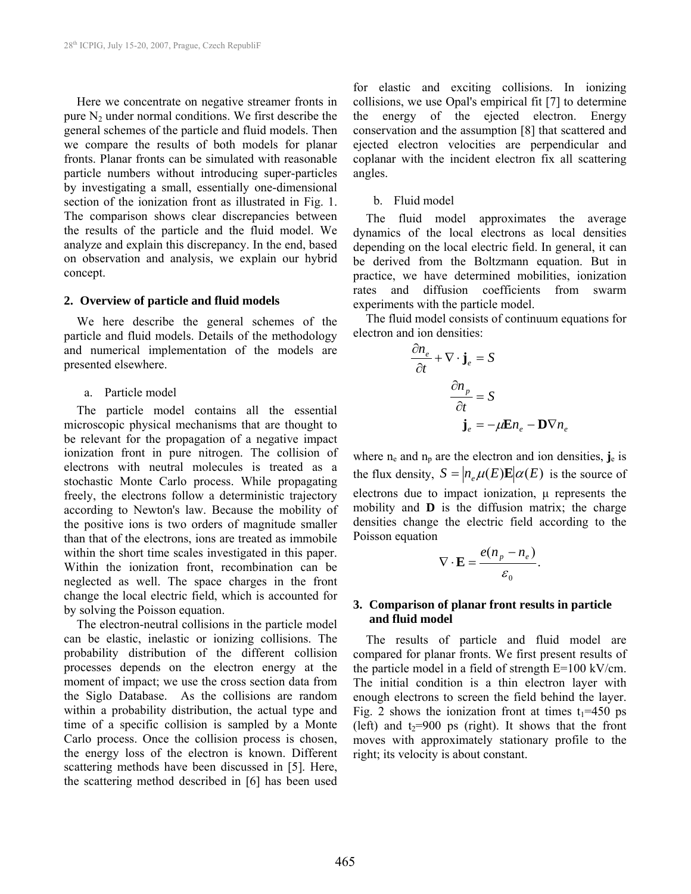Here we concentrate on negative streamer fronts in pure  $N_2$  under normal conditions. We first describe the general schemes of the particle and fluid models. Then we compare the results of both models for planar fronts. Planar fronts can be simulated with reasonable particle numbers without introducing super-particles by investigating a small, essentially one-dimensional section of the ionization front as illustrated in Fig. 1. The comparison shows clear discrepancies between the results of the particle and the fluid model. We analyze and explain this discrepancy. In the end, based on observation and analysis, we explain our hybrid concept.

#### **2. Overview of particle and fluid models**

We here describe the general schemes of the particle and fluid models. Details of the methodology and numerical implementation of the models are presented elsewhere.

#### a. Particle model

The particle model contains all the essential microscopic physical mechanisms that are thought to be relevant for the propagation of a negative impact ionization front in pure nitrogen. The collision of electrons with neutral molecules is treated as a stochastic Monte Carlo process. While propagating freely, the electrons follow a deterministic trajectory according to Newton's law. Because the mobility of the positive ions is two orders of magnitude smaller than that of the electrons, ions are treated as immobile within the short time scales investigated in this paper. Within the ionization front, recombination can be neglected as well. The space charges in the front change the local electric field, which is accounted for by solving the Poisson equation.

The electron-neutral collisions in the particle model can be elastic, inelastic or ionizing collisions. The probability distribution of the different collision processes depends on the electron energy at the moment of impact; we use the cross section data from the Siglo Database. As the collisions are random within a probability distribution, the actual type and time of a specific collision is sampled by a Monte Carlo process. Once the collision process is chosen, the energy loss of the electron is known. Different scattering methods have been discussed in [5]. Here, the scattering method described in [6] has been used for elastic and exciting collisions. In ionizing collisions, we use Opal's empirical fit [7] to determine the energy of the ejected electron. Energy conservation and the assumption [8] that scattered and ejected electron velocities are perpendicular and coplanar with the incident electron fix all scattering angles.

### b. Fluid model

The fluid model approximates the average dynamics of the local electrons as local densities depending on the local electric field. In general, it can be derived from the Boltzmann equation. But in practice, we have determined mobilities, ionization rates and diffusion coefficients from swarm experiments with the particle model.

The fluid model consists of continuum equations for electron and ion densities:

$$
\frac{\partial n_e}{\partial t} + \nabla \cdot \mathbf{j}_e = S
$$

$$
\frac{\partial n_p}{\partial t} = S
$$

$$
\mathbf{j}_e = -\mu \mathbf{E} n_e - \mathbf{D} \nabla n_e
$$

where  $n_e$  and  $n_p$  are the electron and ion densities,  $\mathbf{j}_e$  is the flux density,  $S = |n_e \mu(E) \mathbf{E}| \alpha(E)$  is the source of electrons due to impact ionization, μ represents the mobility and **D** is the diffusion matrix; the charge densities change the electric field according to the Poisson equation

$$
\nabla \cdot \mathbf{E} = \frac{e(n_p - n_e)}{\varepsilon_0}.
$$

## **3. Comparison of planar front results in particle and fluid model**

The results of particle and fluid model are compared for planar fronts. We first present results of the particle model in a field of strength E=100 kV/cm. The initial condition is a thin electron layer with enough electrons to screen the field behind the layer. Fig. 2 shows the ionization front at times  $t_1$ =450 ps (left) and  $t_2=900$  ps (right). It shows that the front moves with approximately stationary profile to the right; its velocity is about constant.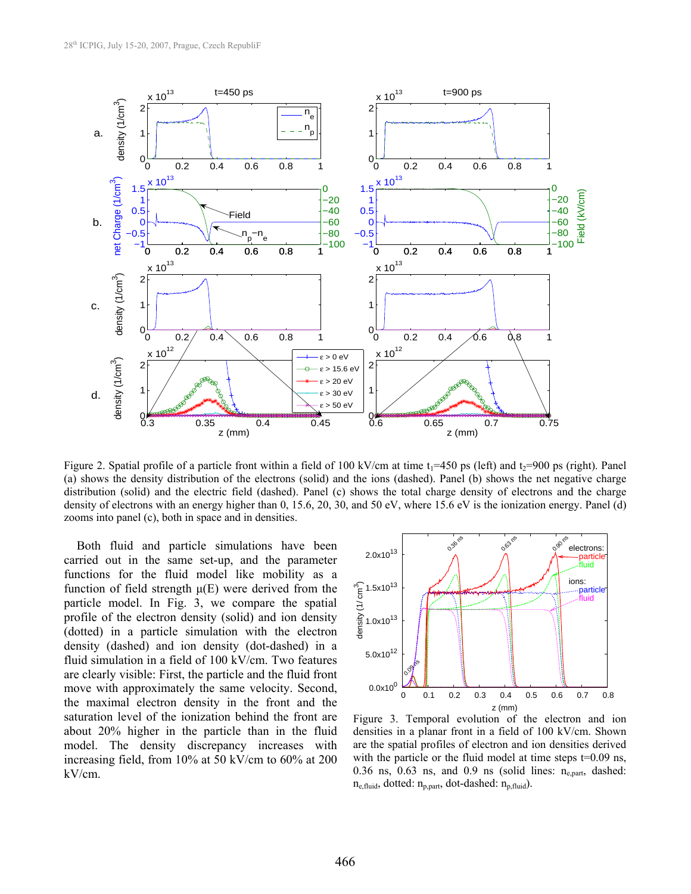

Figure 2. Spatial profile of a particle front within a field of 100 kV/cm at time  $t_1$ =450 ps (left) and  $t_2$ =900 ps (right). Panel (a) shows the density distribution of the electrons (solid) and the ions (dashed). Panel (b) shows the net negative charge distribution (solid) and the electric field (dashed). Panel (c) shows the total charge density of electrons and the charge density of electrons with an energy higher than 0, 15.6, 20, 30, and 50 eV, where 15.6 eV is the ionization energy. Panel (d) zooms into panel (c), both in space and in densities.

Both fluid and particle simulations have been carried out in the same set-up, and the parameter functions for the fluid model like mobility as a function of field strength  $\mu(E)$  were derived from the particle model. In Fig. 3, we compare the spatial profile of the electron density (solid) and ion density (dotted) in a particle simulation with the electron density (dashed) and ion density (dot-dashed) in a fluid simulation in a field of 100 kV/cm. Two features are clearly visible: First, the particle and the fluid front move with approximately the same velocity. Second, the maximal electron density in the front and the saturation level of the ionization behind the front are about 20% higher in the particle than in the fluid model. The density discrepancy increases with increasing field, from 10% at 50 kV/cm to 60% at 200 kV/cm.



Figure 3. Temporal evolution of the electron and ion densities in a planar front in a field of 100 kV/cm. Shown are the spatial profiles of electron and ion densities derived with the particle or the fluid model at time steps  $t=0.09$  ns, 0.36 ns, 0.63 ns, and 0.9 ns (solid lines:  $n_{e,part}$ , dashed:  $n_{e, fluid}$ , dotted:  $n_{p, part}$ , dot-dashed:  $n_{p, fluid}$ ).